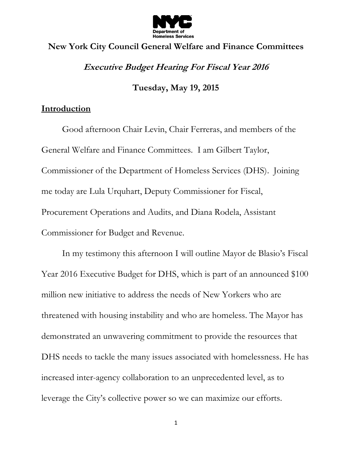

# **New York City Council General Welfare and Finance Committees Executive Budget Hearing For Fiscal Year 2016**

**Tuesday, May 19, 2015**

# **Introduction**

Good afternoon Chair Levin, Chair Ferreras, and members of the General Welfare and Finance Committees. I am Gilbert Taylor, Commissioner of the Department of Homeless Services (DHS). Joining me today are Lula Urquhart, Deputy Commissioner for Fiscal, Procurement Operations and Audits, and Diana Rodela, Assistant Commissioner for Budget and Revenue.

In my testimony this afternoon I will outline Mayor de Blasio's Fiscal Year 2016 Executive Budget for DHS, which is part of an announced \$100 million new initiative to address the needs of New Yorkers who are threatened with housing instability and who are homeless. The Mayor has demonstrated an unwavering commitment to provide the resources that DHS needs to tackle the many issues associated with homelessness. He has increased inter-agency collaboration to an unprecedented level, as to leverage the City's collective power so we can maximize our efforts.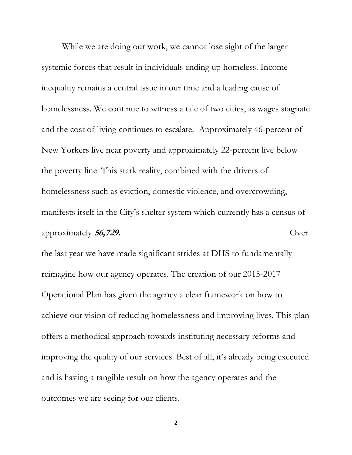While we are doing our work, we cannot lose sight of the larger systemic forces that result in individuals ending up homeless. Income inequality remains a central issue in our time and a leading cause of homelessness. We continue to witness a tale of two cities, as wages stagnate and the cost of living continues to escalate. Approximately 46-percent of New Yorkers live near poverty and approximately 22-percent live below the poverty line. This stark reality, combined with the drivers of homelessness such as eviction, domestic violence, and overcrowding, manifests itself in the City's shelter system which currently has a census of approximately **56,729.** Over

the last year we have made significant strides at DHS to fundamentally reimagine how our agency operates. The creation of our 2015-2017 Operational Plan has given the agency a clear framework on how to achieve our vision of reducing homelessness and improving lives. This plan offers a methodical approach towards instituting necessary reforms and improving the quality of our services. Best of all, it's already being executed and is having a tangible result on how the agency operates and the outcomes we are seeing for our clients.

2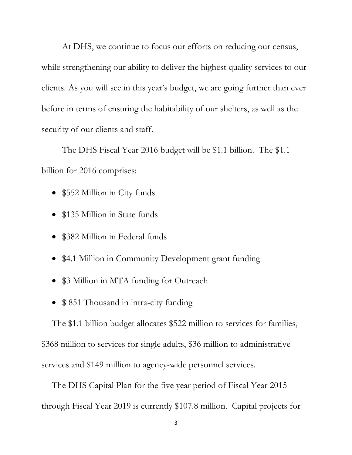At DHS, we continue to focus our efforts on reducing our census, while strengthening our ability to deliver the highest quality services to our clients. As you will see in this year's budget, we are going further than ever before in terms of ensuring the habitability of our shelters, as well as the security of our clients and staff.

The DHS Fiscal Year 2016 budget will be \$1.1 billion. The \$1.1 billion for 2016 comprises:

- \$552 Million in City funds
- \$135 Million in State funds
- \$382 Million in Federal funds
- \$4.1 Million in Community Development grant funding
- \$3 Million in MTA funding for Outreach
- \$851 Thousand in intra-city funding

The \$1.1 billion budget allocates \$522 million to services for families, \$368 million to services for single adults, \$36 million to administrative services and \$149 million to agency-wide personnel services.

The DHS Capital Plan for the five year period of Fiscal Year 2015 through Fiscal Year 2019 is currently \$107.8 million. Capital projects for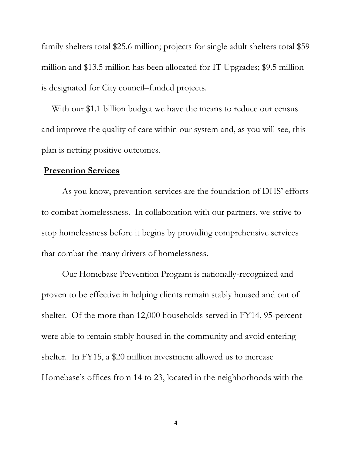family shelters total \$25.6 million; projects for single adult shelters total \$59 million and \$13.5 million has been allocated for IT Upgrades; \$9.5 million is designated for City council–funded projects.

With our \$1.1 billion budget we have the means to reduce our census and improve the quality of care within our system and, as you will see, this plan is netting positive outcomes.

## **Prevention Services**

As you know, prevention services are the foundation of DHS' efforts to combat homelessness. In collaboration with our partners, we strive to stop homelessness before it begins by providing comprehensive services that combat the many drivers of homelessness.

Our Homebase Prevention Program is nationally-recognized and proven to be effective in helping clients remain stably housed and out of shelter. Of the more than 12,000 households served in FY14, 95-percent were able to remain stably housed in the community and avoid entering shelter. In FY15, a \$20 million investment allowed us to increase Homebase's offices from 14 to 23, located in the neighborhoods with the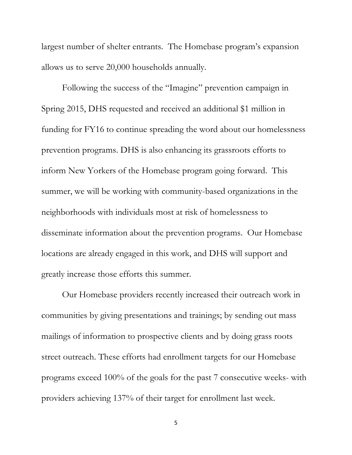largest number of shelter entrants. The Homebase program's expansion allows us to serve 20,000 households annually.

Following the success of the "Imagine" prevention campaign in Spring 2015, DHS requested and received an additional \$1 million in funding for FY16 to continue spreading the word about our homelessness prevention programs. DHS is also enhancing its grassroots efforts to inform New Yorkers of the Homebase program going forward. This summer, we will be working with community-based organizations in the neighborhoods with individuals most at risk of homelessness to disseminate information about the prevention programs. Our Homebase locations are already engaged in this work, and DHS will support and greatly increase those efforts this summer.

Our Homebase providers recently increased their outreach work in communities by giving presentations and trainings; by sending out mass mailings of information to prospective clients and by doing grass roots street outreach. These efforts had enrollment targets for our Homebase programs exceed 100% of the goals for the past 7 consecutive weeks- with providers achieving 137% of their target for enrollment last week.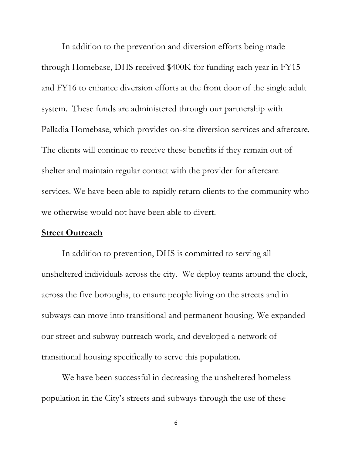In addition to the prevention and diversion efforts being made through Homebase, DHS received \$400K for funding each year in FY15 and FY16 to enhance diversion efforts at the front door of the single adult system. These funds are administered through our partnership with Palladia Homebase, which provides on-site diversion services and aftercare. The clients will continue to receive these benefits if they remain out of shelter and maintain regular contact with the provider for aftercare services. We have been able to rapidly return clients to the community who we otherwise would not have been able to divert.

## **Street Outreach**

In addition to prevention, DHS is committed to serving all unsheltered individuals across the city. We deploy teams around the clock, across the five boroughs, to ensure people living on the streets and in subways can move into transitional and permanent housing. We expanded our street and subway outreach work, and developed a network of transitional housing specifically to serve this population.

We have been successful in decreasing the unsheltered homeless population in the City's streets and subways through the use of these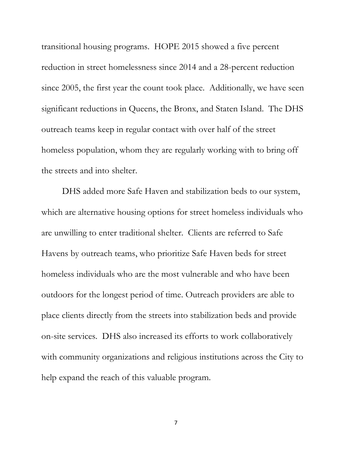transitional housing programs. HOPE 2015 showed a five percent reduction in street homelessness since 2014 and a 28-percent reduction since 2005, the first year the count took place. Additionally, we have seen significant reductions in Queens, the Bronx, and Staten Island. The DHS outreach teams keep in regular contact with over half of the street homeless population, whom they are regularly working with to bring off the streets and into shelter.

DHS added more Safe Haven and stabilization beds to our system, which are alternative housing options for street homeless individuals who are unwilling to enter traditional shelter. Clients are referred to Safe Havens by outreach teams, who prioritize Safe Haven beds for street homeless individuals who are the most vulnerable and who have been outdoors for the longest period of time. Outreach providers are able to place clients directly from the streets into stabilization beds and provide on-site services. DHS also increased its efforts to work collaboratively with community organizations and religious institutions across the City to help expand the reach of this valuable program.

7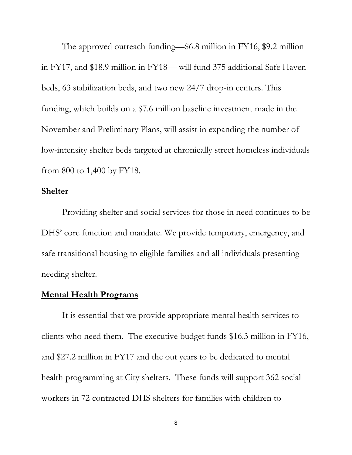The approved outreach funding—\$6.8 million in FY16, \$9.2 million in FY17, and \$18.9 million in FY18— will fund 375 additional Safe Haven beds, 63 stabilization beds, and two new 24/7 drop-in centers. This funding, which builds on a \$7.6 million baseline investment made in the November and Preliminary Plans, will assist in expanding the number of low-intensity shelter beds targeted at chronically street homeless individuals from 800 to 1,400 by FY18.

#### **Shelter**

Providing shelter and social services for those in need continues to be DHS' core function and mandate. We provide temporary, emergency, and safe transitional housing to eligible families and all individuals presenting needing shelter.

# **Mental Health Programs**

It is essential that we provide appropriate mental health services to clients who need them. The executive budget funds \$16.3 million in FY16, and \$27.2 million in FY17 and the out years to be dedicated to mental health programming at City shelters. These funds will support 362 social workers in 72 contracted DHS shelters for families with children to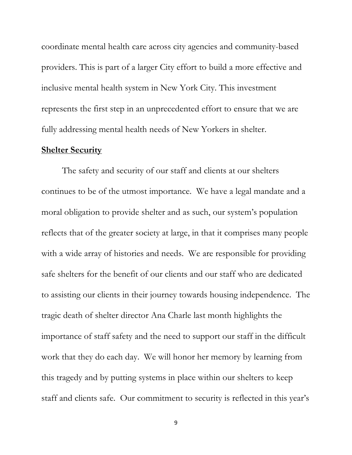coordinate mental health care across city agencies and community-based providers. This is part of a larger City effort to build a more effective and inclusive mental health system in New York City. This investment represents the first step in an unprecedented effort to ensure that we are fully addressing mental health needs of New Yorkers in shelter.

## **Shelter Security**

The safety and security of our staff and clients at our shelters continues to be of the utmost importance. We have a legal mandate and a moral obligation to provide shelter and as such, our system's population reflects that of the greater society at large, in that it comprises many people with a wide array of histories and needs. We are responsible for providing safe shelters for the benefit of our clients and our staff who are dedicated to assisting our clients in their journey towards housing independence. The tragic death of shelter director Ana Charle last month highlights the importance of staff safety and the need to support our staff in the difficult work that they do each day. We will honor her memory by learning from this tragedy and by putting systems in place within our shelters to keep staff and clients safe. Our commitment to security is reflected in this year's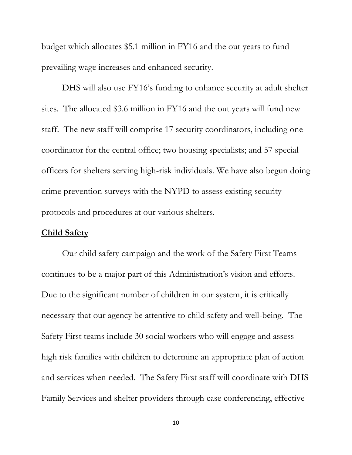budget which allocates \$5.1 million in FY16 and the out years to fund prevailing wage increases and enhanced security.

DHS will also use FY16's funding to enhance security at adult shelter sites. The allocated \$3.6 million in FY16 and the out years will fund new staff. The new staff will comprise 17 security coordinators, including one coordinator for the central office; two housing specialists; and 57 special officers for shelters serving high-risk individuals. We have also begun doing crime prevention surveys with the NYPD to assess existing security protocols and procedures at our various shelters.

#### **Child Safety**

Our child safety campaign and the work of the Safety First Teams continues to be a major part of this Administration's vision and efforts. Due to the significant number of children in our system, it is critically necessary that our agency be attentive to child safety and well-being. The Safety First teams include 30 social workers who will engage and assess high risk families with children to determine an appropriate plan of action and services when needed. The Safety First staff will coordinate with DHS Family Services and shelter providers through case conferencing, effective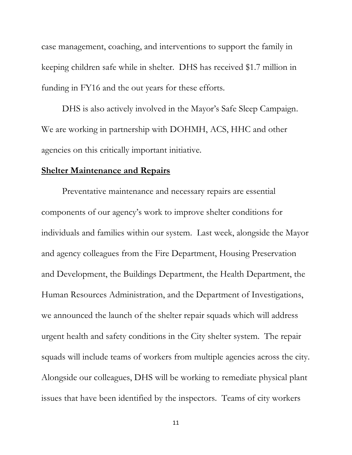case management, coaching, and interventions to support the family in keeping children safe while in shelter. DHS has received \$1.7 million in funding in FY16 and the out years for these efforts.

DHS is also actively involved in the Mayor's Safe Sleep Campaign. We are working in partnership with DOHMH, ACS, HHC and other agencies on this critically important initiative.

#### **Shelter Maintenance and Repairs**

Preventative maintenance and necessary repairs are essential components of our agency's work to improve shelter conditions for individuals and families within our system. Last week, alongside the Mayor and agency colleagues from the Fire Department, Housing Preservation and Development, the Buildings Department, the Health Department, the Human Resources Administration, and the Department of Investigations, we announced the launch of the shelter repair squads which will address urgent health and safety conditions in the City shelter system. The repair squads will include teams of workers from multiple agencies across the city. Alongside our colleagues, DHS will be working to remediate physical plant issues that have been identified by the inspectors. Teams of city workers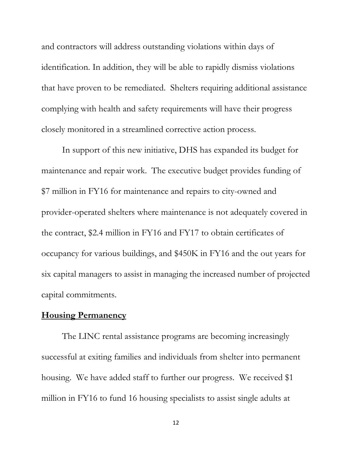and contractors will address outstanding violations within days of identification. In addition, they will be able to rapidly dismiss violations that have proven to be remediated. Shelters requiring additional assistance complying with health and safety requirements will have their progress closely monitored in a streamlined corrective action process.

In support of this new initiative, DHS has expanded its budget for maintenance and repair work. The executive budget provides funding of \$7 million in FY16 for maintenance and repairs to city-owned and provider-operated shelters where maintenance is not adequately covered in the contract, \$2.4 million in FY16 and FY17 to obtain certificates of occupancy for various buildings, and \$450K in FY16 and the out years for six capital managers to assist in managing the increased number of projected capital commitments.

## **Housing Permanency**

The LINC rental assistance programs are becoming increasingly successful at exiting families and individuals from shelter into permanent housing. We have added staff to further our progress. We received \$1 million in FY16 to fund 16 housing specialists to assist single adults at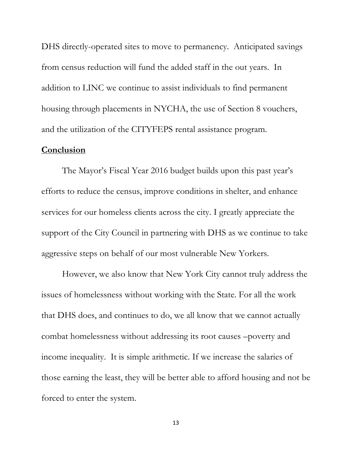DHS directly-operated sites to move to permanency. Anticipated savings from census reduction will fund the added staff in the out years. In addition to LINC we continue to assist individuals to find permanent housing through placements in NYCHA, the use of Section 8 vouchers, and the utilization of the CITYFEPS rental assistance program.

## **Conclusion**

The Mayor's Fiscal Year 2016 budget builds upon this past year's efforts to reduce the census, improve conditions in shelter, and enhance services for our homeless clients across the city. I greatly appreciate the support of the City Council in partnering with DHS as we continue to take aggressive steps on behalf of our most vulnerable New Yorkers.

However, we also know that New York City cannot truly address the issues of homelessness without working with the State. For all the work that DHS does, and continues to do, we all know that we cannot actually combat homelessness without addressing its root causes –poverty and income inequality. It is simple arithmetic. If we increase the salaries of those earning the least, they will be better able to afford housing and not be forced to enter the system.